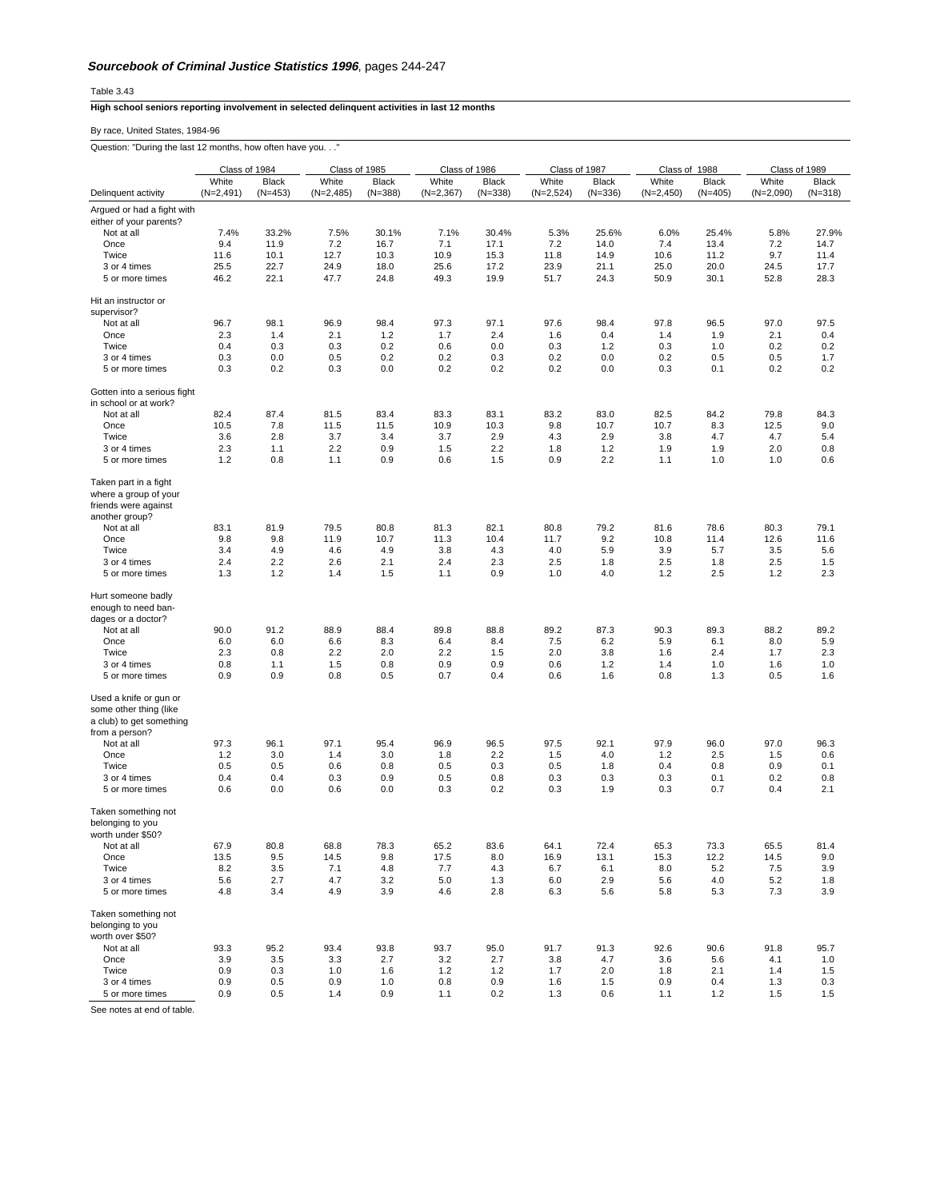Table 3.43

## **High school seniors reporting involvement in selected delinquent activities in last 12 months**

By race, United States, 1984-96

Question: "During the last 12 months, how often have you. . ."

|                                                                              | Class of 1984 |              | Class of 1985 |              | Class of 1986 |              | Class of 1987 |              | Class of 1988 |              | Class of 1989 |              |
|------------------------------------------------------------------------------|---------------|--------------|---------------|--------------|---------------|--------------|---------------|--------------|---------------|--------------|---------------|--------------|
|                                                                              | White         | Black        | White         | Black        | White         | <b>Black</b> | White         | <b>Black</b> | White         | Black        | White         | <b>Black</b> |
| Delinquent activity                                                          | $(N=2,491)$   | $(N=453)$    | $(N=2,485)$   | $(N=388)$    | $(N=2,367)$   | $(N=338)$    | $(N=2,524)$   | $(N=336)$    | $(N=2,450)$   | $(N=405)$    | $(N=2,090)$   | $(N=318)$    |
| Argued or had a fight with                                                   |               |              |               |              |               |              |               |              |               |              |               |              |
| either of your parents?                                                      |               |              |               |              |               |              |               |              |               |              |               |              |
| Not at all                                                                   | 7.4%          | 33.2%        | 7.5%          | 30.1%        | 7.1%          | 30.4%        | 5.3%          | 25.6%        | 6.0%          | 25.4%        | 5.8%          | 27.9%        |
| Once                                                                         | 9.4           | 11.9         | 7.2           | 16.7         | 7.1           | 17.1         | 7.2           | 14.0         | 7.4           | 13.4         | 7.2           | 14.7         |
| Twice<br>3 or 4 times                                                        | 11.6<br>25.5  | 10.1<br>22.7 | 12.7<br>24.9  | 10.3<br>18.0 | 10.9<br>25.6  | 15.3<br>17.2 | 11.8<br>23.9  | 14.9<br>21.1 | 10.6<br>25.0  | 11.2<br>20.0 | 9.7<br>24.5   | 11.4<br>17.7 |
| 5 or more times                                                              | 46.2          | 22.1         | 47.7          | 24.8         | 49.3          | 19.9         | 51.7          | 24.3         | 50.9          | 30.1         | 52.8          | 28.3         |
|                                                                              |               |              |               |              |               |              |               |              |               |              |               |              |
| Hit an instructor or                                                         |               |              |               |              |               |              |               |              |               |              |               |              |
| supervisor?<br>Not at all                                                    | 96.7          | 98.1         | 96.9          | 98.4         | 97.3          | 97.1         | 97.6          | 98.4         | 97.8          | 96.5         | 97.0          | 97.5         |
| Once                                                                         | 2.3           | 1.4          | 2.1           | 1.2          | 1.7           | 2.4          | 1.6           | 0.4          | 1.4           | 1.9          | 2.1           | 0.4          |
| Twice                                                                        | 0.4           | 0.3          | 0.3           | 0.2          | 0.6           | 0.0          | 0.3           | 1.2          | 0.3           | 1.0          | 0.2           | 0.2          |
| 3 or 4 times                                                                 | 0.3           | 0.0          | 0.5           | 0.2          | 0.2           | 0.3          | 0.2           | 0.0          | 0.2           | 0.5          | 0.5           | 1.7          |
| 5 or more times                                                              | 0.3           | 0.2          | 0.3           | 0.0          | 0.2           | 0.2          | 0.2           | 0.0          | 0.3           | 0.1          | 0.2           | 0.2          |
|                                                                              |               |              |               |              |               |              |               |              |               |              |               |              |
| Gotten into a serious fight<br>in school or at work?                         |               |              |               |              |               |              |               |              |               |              |               |              |
| Not at all                                                                   | 82.4          | 87.4         | 81.5          | 83.4         | 83.3          | 83.1         | 83.2          | 83.0         | 82.5          | 84.2         | 79.8          | 84.3         |
| Once                                                                         | 10.5          | 7.8          | 11.5          | 11.5         | 10.9          | 10.3         | 9.8           | 10.7         | 10.7          | 8.3          | 12.5          | 9.0          |
| Twice                                                                        | 3.6           | 2.8          | 3.7           | 3.4          | 3.7           | 2.9          | 4.3           | 2.9          | 3.8           | 4.7          | 4.7           | 5.4          |
| 3 or 4 times                                                                 | 2.3           | 1.1          | 2.2           | 0.9          | 1.5           | 2.2          | 1.8           | 1.2          | 1.9           | 1.9          | 2.0           | 0.8          |
| 5 or more times                                                              | 1.2           | 0.8          | 1.1           | 0.9          | 0.6           | 1.5          | 0.9           | 2.2          | 1.1           | 1.0          | 1.0           | 0.6          |
| Taken part in a fight<br>where a group of your                               |               |              |               |              |               |              |               |              |               |              |               |              |
| friends were against                                                         |               |              |               |              |               |              |               |              |               |              |               |              |
| another group?                                                               |               |              |               |              |               |              |               |              |               |              |               |              |
| Not at all                                                                   | 83.1          | 81.9         | 79.5          | 80.8         | 81.3          | 82.1         | 80.8          | 79.2         | 81.6          | 78.6         | 80.3          | 79.1         |
| Once                                                                         | 9.8           | 9.8          | 11.9          | 10.7         | 11.3          | 10.4         | 11.7          | 9.2          | 10.8          | 11.4         | 12.6          | 11.6         |
| Twice<br>3 or 4 times                                                        | 3.4<br>2.4    | 4.9<br>2.2   | 4.6<br>2.6    | 4.9<br>2.1   | 3.8<br>2.4    | 4.3<br>2.3   | 4.0<br>2.5    | 5.9<br>1.8   | 3.9<br>2.5    | 5.7<br>1.8   | 3.5<br>2.5    | 5.6<br>1.5   |
| 5 or more times                                                              | 1.3           | 1.2          | 1.4           | 1.5          | 1.1           | 0.9          | 1.0           | 4.0          | 1.2           | 2.5          | 1.2           | 2.3          |
| Hurt someone badly<br>enough to need ban-                                    |               |              |               |              |               |              |               |              |               |              |               |              |
| dages or a doctor?                                                           |               |              |               |              |               |              |               |              |               |              |               |              |
| Not at all                                                                   | 90.0          | 91.2         | 88.9          | 88.4         | 89.8          | 88.8         | 89.2          | 87.3         | 90.3          | 89.3         | 88.2          | 89.2         |
| Once                                                                         | 6.0           | 6.0          | 6.6           | 8.3          | 6.4           | 8.4          | 7.5           | 6.2          | 5.9           | 6.1          | 8.0           | 5.9          |
| Twice<br>3 or 4 times                                                        | 2.3<br>0.8    | 0.8<br>1.1   | 2.2<br>1.5    | 2.0<br>0.8   | 2.2<br>0.9    | 1.5<br>0.9   | 2.0<br>0.6    | 3.8<br>1.2   | 1.6<br>1.4    | 2.4<br>1.0   | 1.7<br>1.6    | 2.3<br>1.0   |
| 5 or more times                                                              | 0.9           | 0.9          | 0.8           | 0.5          | 0.7           | 0.4          | 0.6           | 1.6          | 0.8           | 1.3          | 0.5           | 1.6          |
| Used a knife or gun or<br>some other thing (like<br>a club) to get something |               |              |               |              |               |              |               |              |               |              |               |              |
| from a person?                                                               |               |              |               |              |               |              |               |              |               |              |               |              |
| Not at all                                                                   | 97.3          | 96.1         | 97.1          | 95.4         | 96.9          | 96.5         | 97.5          | 92.1         | 97.9          | 96.0         | 97.0          | 96.3         |
| Once                                                                         | 1.2           | 3.0          | 1.4           | 3.0          | 1.8           | 2.2          | 1.5           | 4.0          | 1.2           | 2.5          | 1.5           | 0.6          |
| Twice                                                                        | 0.5           | 0.5          | 0.6           | 0.8          | 0.5           | 0.3          | 0.5           | 1.8          | 0.4           | 0.8          | 0.9           | 0.1          |
| 3 or 4 times<br>5 or more times                                              | 0.4<br>0.6    | 0.4<br>0.0   | 0.3<br>0.6    | 0.9<br>0.0   | 0.5<br>0.3    | 0.8<br>0.2   | 0.3<br>0.3    | 0.3<br>1.9   | 0.3<br>0.3    | 0.1<br>0.7   | 0.2<br>0.4    | 0.8<br>2.1   |
| Taken something not                                                          |               |              |               |              |               |              |               |              |               |              |               |              |
| belonging to you                                                             |               |              |               |              |               |              |               |              |               |              |               |              |
| wortn under \$50?                                                            |               |              |               |              |               |              |               |              |               |              |               |              |
| Not at all                                                                   | 67.9          | 80.8         | 68.8          | 78.3         | 65.2          | 83.6         | 64.1          | 72.4         | 65.3          | 73.3         | 65.5          | 81.4         |
| Once<br>Twice                                                                | 13.5<br>8.2   | 9.5<br>3.5   | 14.5<br>7.1   | 9.8<br>4.8   | 17.5<br>7.7   | 8.0<br>4.3   | 16.9<br>6.7   | 13.1<br>6.1  | 15.3<br>8.0   | 12.2<br>5.2  | 14.5<br>7.5   | 9.0<br>3.9   |
| 3 or 4 times                                                                 | 5.6           | 2.7          | 4.7           | 3.2          | 5.0           | 1.3          | 6.0           | 2.9          | 5.6           | 4.0          | 5.2           | 1.8          |
| 5 or more times                                                              | 4.8           | 3.4          | 4.9           | 3.9          | 4.6           | 2.8          | 6.3           | 5.6          | 5.8           | 5.3          | 7.3           | 3.9          |
| Taken something not<br>belonging to you<br>worth over \$50?                  |               |              |               |              |               |              |               |              |               |              |               |              |
| Not at all                                                                   | 93.3          | 95.2         | 93.4          | 93.8         | 93.7          | 95.0         | 91.7          | 91.3         | 92.6          | 90.6         | 91.8          | 95.7         |
| Once<br>Twice                                                                | 3.9<br>0.9    | 3.5<br>0.3   | 3.3<br>1.0    | 2.7<br>1.6   | 3.2<br>1.2    | 2.7<br>1.2   | 3.8<br>1.7    | 4.7<br>2.0   | 3.6<br>1.8    | 5.6<br>2.1   | 4.1<br>1.4    | 1.0<br>1.5   |
| 3 or 4 times                                                                 | 0.9           | 0.5          | 0.9           | 1.0          | 0.8           | 0.9          | 1.6           | 1.5          | 0.9           | 0.4          | 1.3           | 0.3          |
| 5 or more times                                                              | 0.9           | 0.5          | 1.4           | 0.9          | 1.1           | 0.2          | 1.3           | 0.6          | 1.1           | 1.2          | 1.5           | 1.5          |
|                                                                              |               |              |               |              |               |              |               |              |               |              |               |              |

See notes at end of table.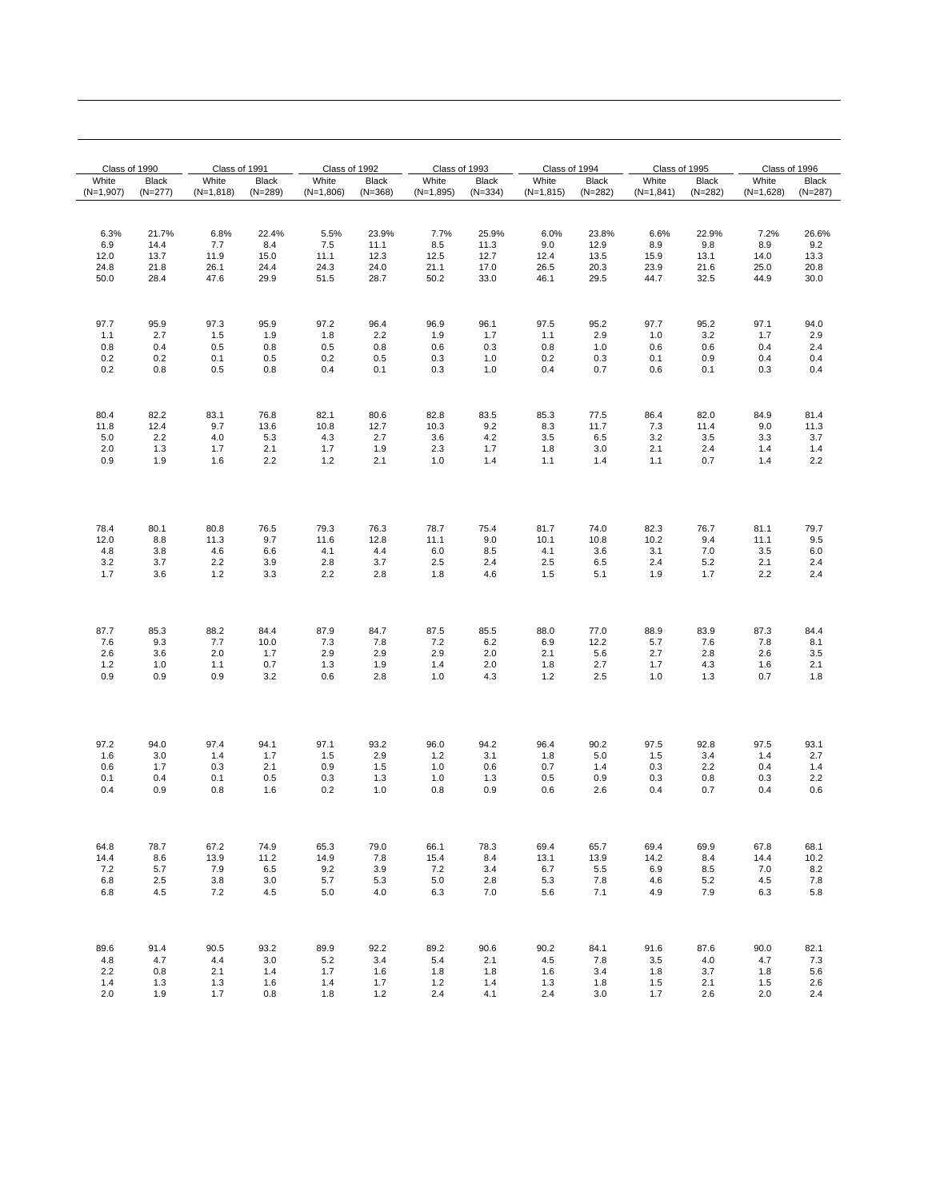| Class of 1990 |           | Class of 1991 |              | Class of 1992 |              | Class of 1993 |           | Class of 1994 |           | Class of 1995 |              | Class of 1996 |           |
|---------------|-----------|---------------|--------------|---------------|--------------|---------------|-----------|---------------|-----------|---------------|--------------|---------------|-----------|
| White         | Black     | White         | <b>Black</b> | White         | <b>Black</b> | White         | Black     | White         | Black     | White         | <b>Black</b> | White         | Black     |
| $(N=1,907)$   | $(N=277)$ | $(N=1,818)$   | $(N=289)$    | $(N=1,806)$   | $(N=368)$    | $(N=1,895)$   | $(N=334)$ | $(N=1,815)$   | $(N=282)$ | $(N=1,841)$   | $(N=282)$    | $(N=1,628)$   | $(N=287)$ |
| 6.3%          | 21.7%     | 6.8%          | 22.4%        | 5.5%          | 23.9%        | 7.7%          | 25.9%     | 6.0%          | 23.8%     | 6.6%          | 22.9%        | 7.2%          | 26.6%     |
| 6.9           | 14.4      | 7.7           | 8.4          | 7.5           | 11.1         | 8.5           | 11.3      | 9.0           | 12.9      | 8.9           | 9.8          | 8.9           | 9.2       |
| 12.0          | 13.7      | 11.9          | 15.0         | 11.1          | 12.3         | 12.5          | 12.7      | 12.4          | 13.5      | 15.9          | 13.1         | 14.0          | 13.3      |
| 24.8          | 21.8      | 26.1          | 24.4         | 24.3          | 24.0         | 21.1          | 17.0      | 26.5          | 20.3      | 23.9          | 21.6         | 25.0          | 20.8      |
| 50.0          | 28.4      | 47.6          | 29.9         | 51.5          | 28.7         | 50.2          | 33.0      | 46.1          | 29.5      | 44.7          | 32.5         | 44.9          | 30.0      |
| 97.7          | 95.9      | 97.3          | 95.9         | 97.2          | 96.4         | 96.9          | 96.1      | 97.5          | 95.2      | 97.7          | 95.2         | 97.1          | 94.0      |
| 1.1           | 2.7       | 1.5           | 1.9          | 1.8           | 2.2          | 1.9           | 1.7       | 1.1           | 2.9       | 1.0           | 3.2          | 1.7           | 2.9       |
| 0.8           | 0.4       | 0.5           | 0.8          | 0.5           | 0.8          | 0.6           | 0.3       | 0.8           | 1.0       | 0.6           | 0.6          | 0.4           | 2.4       |
| 0.2           | 0.2       | 0.1           | 0.5          | 0.2           | 0.5          | 0.3           | 1.0       | 0.2           | 0.3       | 0.1           | 0.9          | 0.4           | 0.4       |
| 0.2           | 0.8       | 0.5           | 0.8          | 0.4           | 0.1          | 0.3           | 1.0       | 0.4           | 0.7       | 0.6           | 0.1          | 0.3           | 0.4       |
| 80.4          | 82.2      | 83.1          | 76.8         | 82.1          | 80.6         | 82.8          | 83.5      | 85.3          | 77.5      | 86.4          | 82.0         | 84.9          | 81.4      |
| 11.8          | 12.4      | 9.7           | 13.6         | 10.8          | 12.7         | 10.3          | 9.2       | 8.3           | 11.7      | 7.3           | 11.4         | 9.0           | 11.3      |
| 5.0           | 2.2       | 4.0           | 5.3          | 4.3           | 2.7          | 3.6           | 4.2       | 3.5           | 6.5       | 3.2           | 3.5          | 3.3           | 3.7       |
| 2.0           | 1.3       | 1.7           | 2.1          | 1.7           | 1.9          | 2.3           | 1.7       | 1.8           | 3.0       | 2.1           | 2.4          | 1.4           | 1.4       |
| 0.9           | 1.9       | 1.6           | 2.2          | 1.2           | 2.1          | 1.0           | 1.4       | 1.1           | 1.4       | 1.1           | 0.7          | 1.4           | 2.2       |
| 78.4          | 80.1      | 80.8          | 76.5         | 79.3          | 76.3         | 78.7          | 75.4      | 81.7          | 74.0      | 82.3          | 76.7         | 81.1          | 79.7      |
| 12.0          | 8.8       | 11.3          | 9.7          | 11.6          | 12.8         | 11.1          | 9.0       | 10.1          | 10.8      | 10.2          | 9.4          | 11.1          | 9.5       |
| 4.8           | 3.8       | 4.6           | 6.6          | 4.1           | 4.4          | 6.0           | 8.5       | 4.1           | 3.6       | 3.1           | 7.0          | 3.5           | 6.0       |
| 3.2           | 3.7       | 2.2           | 3.9          | 2.8           | 3.7          | 2.5           | 2.4       | 2.5           | 6.5       | 2.4           | 5.2          | 2.1           | 2.4       |
| 1.7           | 3.6       | $1.2$         | 3.3          | 2.2           | 2.8          | 1.8           | 4.6       | 1.5           | 5.1       | 1.9           | 1.7          | 2.2           | 2.4       |
| 87.7          | 85.3      | 88.2          | 84.4         | 87.9          | 84.7         | 87.5          | 85.5      | 88.0          | 77.0      | 88.9          | 83.9         | 87.3          | 84.4      |
| 7.6           | 9.3       | 7.7           | 10.0         | 7.3           | 7.8          | 7.2           | 6.2       | 6.9           | 12.2      | 5.7           | 7.6          | 7.8           | 8.1       |
| 2.6           | 3.6       | 2.0           | 1.7          | 2.9           | 2.9          | 2.9           | 2.0       | 2.1           | 5.6       | 2.7           | 2.8          | 2.6           | 3.5       |
| 1.2           | 1.0       | 1.1           | 0.7          | 1.3           | 1.9          | 1.4           | 2.0       | 1.8           | 2.7       | 1.7           | 4.3          | 1.6           | 2.1       |
| 0.9           | 0.9       | 0.9           | 3.2          | 0.6           | 2.8          | 1.0           | 4.3       | 1.2           | 2.5       | 1.0           | 1.3          | 0.7           | 1.8       |
| 97.2          | 94.0      | 97.4          | 94.1         | 97.1          | 93.2         | 96.0          | 94.2      | 96.4          | 90.2      | 97.5          | 92.8         | 97.5          | 93.1      |
| 1.6           | 3.0       | 1.4           | 1.7          | 1.5           | 2.9          | 1.2           | 3.1       | 1.8           | 5.0       | 1.5           | 3.4          | 1.4           | 2.7       |
| 0.6           | 1.7       | 0.3           | 2.1          | 0.9           | 1.5          | 1.0           | 0.6       | 0.7           | 1.4       | 0.3           | 2.2          | 0.4           | 1.4       |
| 0.1           | 0.4       | 0.1           | 0.5          | 0.3           | 1.3          | 1.0           | 1.3       | 0.5           | 0.9       | 0.3           | 0.8          | 0.3           | 2.2       |
| 0.4           | 0.9       | 0.8           | 1.6          | 0.2           | 1.0          | 0.8           | 0.9       | 0.6           | 2.6       | 0.4           | 0.7          | 0.4           | 0.6       |
| 64.8          | 78.7      | 67.2          | 74.9         | 65.3          | 79.0         | 66.1          | 78.3      | 69.4          | 65.7      | 69.4          | 69.9         | 67.8          | 68.1      |
| 14.4          | 8.6       | 13.9          | 11.2         | 14.9          | 7.8          | 15.4          | 8.4       | 13.1          | 13.9      | 14.2          | 8.4          | 14.4          | 10.2      |
| 7.2           | 5.7       | 7.9           | 6.5          | 9.2           | 3.9          | 7.2           | 3.4       | 6.7           | 5.5       | 6.9           | 8.5          | 7.0           | 8.2       |
| 6.8           | 2.5       | 3.8           | 3.0          | 5.7           | 5.3          | $5.0\,$       | 2.8       | 5.3           | 7.8       | 4.6           | 5.2          | 4.5           | 7.8       |
| 6.8           | 4.5       | 7.2           | 4.5          | 5.0           | 4.0          | 6.3           | 7.0       | 5.6           | 7.1       | 4.9           | 7.9          | 6.3           | 5.8       |
| 89.6          | 91.4      | 90.5          | 93.2         | 89.9          | 92.2         | 89.2          | 90.6      | 90.2          | 84.1      | 91.6          | 87.6         | 90.0          | 82.1      |
| 4.8           | 4.7       | 4.4           | 3.0          | 5.2           | 3.4          | 5.4           | 2.1       | 4.5           | 7.8       | 3.5           | 4.0          | 4.7           | 7.3       |
| 2.2           | 0.8       | 2.1           | 1.4          | 1.7           | 1.6          | 1.8           | 1.8       | 1.6           | 3.4       | 1.8           | 3.7          | 1.8           | 5.6       |
| 1.4           | 1.3       | 1.3           | 1.6          | 1.4           | 1.7          | 1.2           | 1.4       | 1.3           | 1.8       | 1.5           | 2.1          | 1.5           | 2.6       |
| 2.0           | 1.9       | 1.7           | 0.8          | 1.8           | 1.2          | 2.4           | 4.1       | 2.4           | 3.0       | 1.7           | 2.6          | 2.0           | 2.4       |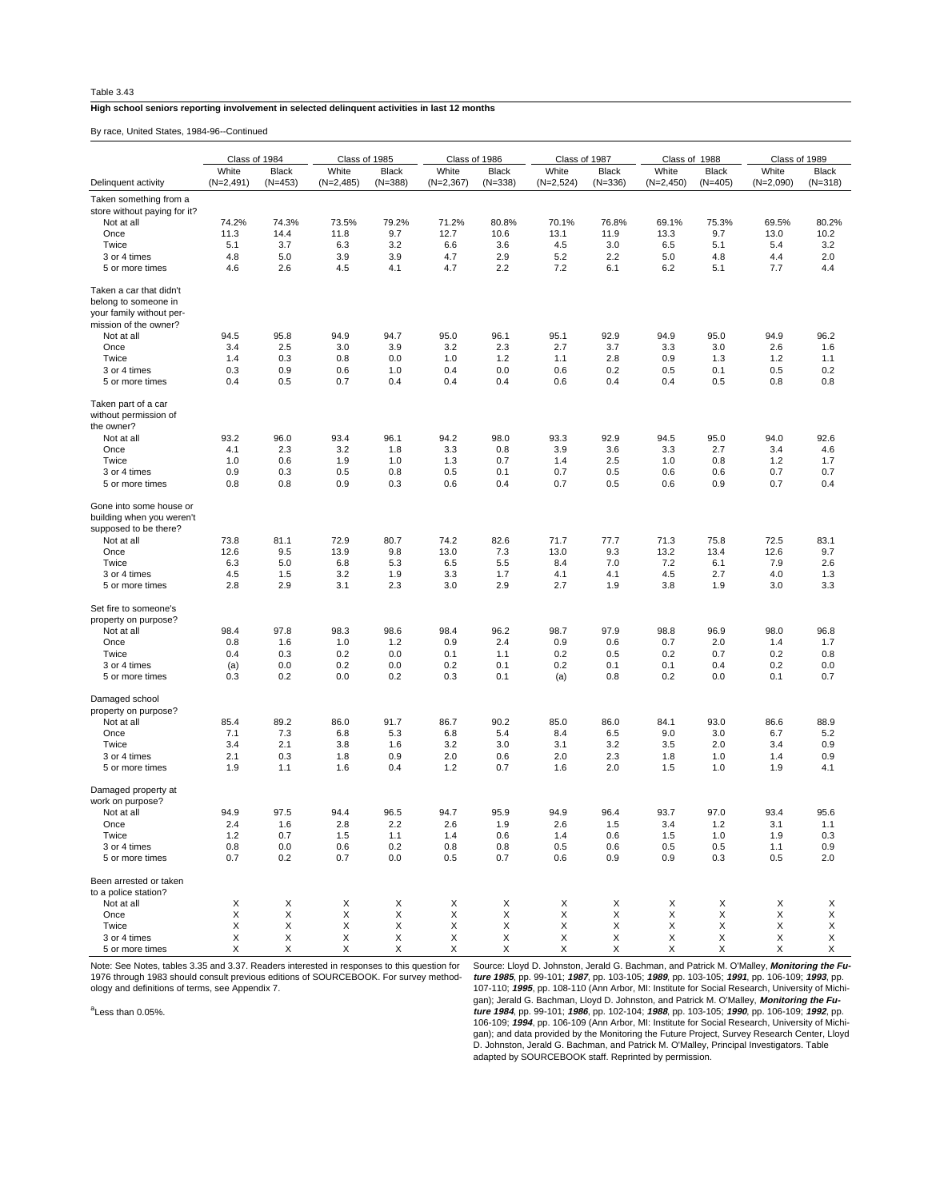## **High school seniors reporting involvement in selected delinquent activities in last 12 months**

By race, United States, 1984-96--Continued

| White<br>White<br>White<br>White<br>White<br>White<br><b>Black</b><br>Black<br>Black<br><b>Black</b><br><b>Black</b><br><b>Black</b><br>$(N=2,491)$<br>$(N=453)$<br>$(N=2,485)$<br>$(N=388)$<br>$(N=2,367)$<br>$(N=338)$<br>$(N=2,524)$<br>$(N=336)$<br>$(N=2,450)$<br>$(N=405)$<br>$(N=2,090)$<br>$(N=318)$<br>Delinquent activity<br>Taken something from a<br>store without paying for it?<br>74.2%<br>79.2%<br>80.8%<br>80.2%<br>74.3%<br>73.5%<br>71.2%<br>70.1%<br>76.8%<br>69.1%<br>75.3%<br>69.5%<br>Not at all<br>9.7<br>12.7<br>10.6<br>9.7<br>13.0<br>10.2<br>Once<br>11.3<br>14.4<br>11.8<br>13.1<br>11.9<br>13.3<br>Twice<br>5.1<br>3.7<br>6.3<br>3.2<br>6.6<br>3.6<br>4.5<br>3.0<br>6.5<br>5.1<br>5.4<br>3.2<br>5.0<br>3.9<br>2.9<br>5.2<br>2.2<br>2.0<br>4.8<br>3.9<br>4.7<br>5.0<br>4.8<br>4.4<br>3 or 4 times<br>5 or more times<br>4.6<br>2.6<br>4.5<br>4.1<br>4.7<br>2.2<br>7.2<br>6.1<br>6.2<br>5.1<br>7.7<br>4.4<br>Taken a car that didn't<br>belong to someone in<br>your family without per-<br>mission of the owner?<br>95.8<br>95.0<br>96.1<br>95.1<br>92.9<br>94.9<br>96.2<br>Not at all<br>94.5<br>94.9<br>94.7<br>94.9<br>95.0<br>2.5<br>3.9<br>3.2<br>2.3<br>2.7<br>3.7<br>2.6<br>Once<br>3.4<br>3.0<br>3.3<br>3.0<br>1.6<br>Twice<br>1.4<br>0.3<br>0.8<br>0.0<br>1.0<br>1.2<br>1.1<br>2.8<br>0.9<br>1.3<br>1.2<br>1.1<br>0.9<br>0.6<br>0.4<br>0.0<br>0.2<br>0.5<br>0.1<br>0.5<br>0.2<br>3 or 4 times<br>0.3<br>1.0<br>0.6<br>0.5<br>5 or more times<br>0.4<br>0.7<br>0.4<br>0.4<br>0.4<br>0.6<br>0.4<br>0.4<br>0.5<br>0.8<br>0.8<br>Taken part of a car<br>without permission of<br>the owner?<br>93.2<br>96.0<br>93.4<br>96.1<br>94.2<br>98.0<br>93.3<br>92.9<br>94.5<br>95.0<br>94.0<br>92.6<br>Not at all<br>Once<br>4.1<br>2.3<br>3.2<br>1.8<br>3.3<br>0.8<br>3.9<br>3.6<br>3.3<br>2.7<br>3.4<br>4.6<br>0.6<br>2.5<br>Twice<br>1.0<br>1.9<br>1.0<br>1.3<br>0.7<br>1.4<br>1.0<br>0.8<br>1.2<br>1.7<br>3 or 4 times<br>0.9<br>0.3<br>0.5<br>0.8<br>0.5<br>0.1<br>0.7<br>0.5<br>0.6<br>0.6<br>0.7<br>0.7<br>0.8<br>0.8<br>0.9<br>0.6<br>0.4<br>0.7<br>0.5<br>0.4<br>0.3<br>0.6<br>0.9<br>0.7<br>5 or more times<br>Gone into some house or<br>building when you weren't<br>supposed to be there?<br>72.9<br>74.2<br>82.6<br>77.7<br>72.5<br>83.1<br>Not at all<br>73.8<br>81.1<br>80.7<br>71.7<br>71.3<br>75.8<br>9.5<br>9.8<br>13.0<br>9.3<br>12.6<br>9.7<br>Once<br>12.6<br>13.9<br>7.3<br>13.0<br>13.2<br>13.4<br>Twice<br>6.3<br>5.0<br>6.8<br>5.3<br>6.5<br>5.5<br>8.4<br>7.0<br>7.2<br>6.1<br>7.9<br>2.6<br>1.5<br>4.5<br>3.2<br>1.9<br>3.3<br>1.7<br>4.1<br>4.1<br>4.5<br>2.7<br>4.0<br>1.3<br>3 or 4 times<br>2.8<br>2.9<br>3.1<br>2.3<br>3.0<br>2.9<br>2.7<br>1.9<br>3.8<br>1.9<br>3.0<br>3.3<br>5 or more times<br>Set fire to someone's<br>property on purpose?<br>97.8<br>98.3<br>98.4<br>96.2<br>97.9<br>98.8<br>98.0<br>96.8<br>Not at all<br>98.4<br>98.6<br>98.7<br>96.9<br>1.6<br>0.9<br>2.4<br>0.9<br>0.6<br>0.7<br>2.0<br>Once<br>0.8<br>1.0<br>1.2<br>1.4<br>1.7<br>Twice<br>0.4<br>0.3<br>0.2<br>0.0<br>0.1<br>1.1<br>0.2<br>0.5<br>0.2<br>0.7<br>0.2<br>0.8<br>0.0<br>0.2<br>0.1<br>0.2<br>0.0<br>0.0<br>0.2<br>0.1<br>0.1<br>0.4<br>0.2<br>3 or 4 times<br>(a)<br>0.3<br>0.2<br>0.0<br>0.2<br>0.3<br>0.1<br>(a)<br>0.8<br>0.2<br>0.0<br>0.1<br>0.7<br>5 or more times<br>Damaged school<br>property on purpose?<br>89.2<br>86.0<br>90.2<br>85.0<br>86.0<br>86.6<br>88.9<br>Not at all<br>85.4<br>91.7<br>86.7<br>84.1<br>93.0<br>7.3<br>6.8<br>6.8<br>5.4<br>6.5<br>9.0<br>5.2<br>Once<br>7.1<br>5.3<br>8.4<br>3.0<br>6.7<br>Twice<br>3.4<br>2.1<br>3.8<br>1.6<br>3.2<br>3.0<br>3.1<br>3.2<br>3.5<br>2.0<br>3.4<br>0.9<br>0.3<br>2.0<br>2.0<br>2.3<br>0.9<br>2.1<br>1.8<br>0.9<br>0.6<br>1.8<br>1.0<br>1.4<br>3 or 4 times<br>1.9<br>1.1<br>1.6<br>0.4<br>1.2<br>0.7<br>1.6<br>2.0<br>1.5<br>1.0<br>1.9<br>4.1<br>5 or more times<br>Damaged property at<br>work on purpose?<br>94.9<br>97.5<br>94.9<br>97.0<br>93.4<br>95.6<br>Not at all<br>94.4<br>96.5<br>94.7<br>95.9<br>96.4<br>93.7<br>Once<br>2.4<br>1.6<br>2.8<br>2.2<br>2.6<br>1.9<br>2.6<br>1.5<br>3.4<br>1.2<br>3.1<br>1.1<br>1.2<br>Twice<br>0.7<br>1.5<br>1.1<br>1.4<br>0.6<br>1.4<br>0.6<br>1.5<br>1.0<br>1.9<br>0.3<br>3 or 4 times<br>0.8<br>0.0<br>0.6<br>0.2<br>0.8<br>0.8<br>0.5<br>0.6<br>0.5<br>0.5<br>0.9<br>1.1<br>0.7<br>0.2<br>0.7<br>0.0<br>0.5<br>0.7<br>0.6<br>0.9<br>0.9<br>0.3<br>0.5<br>2.0<br>5 or more times<br>Been arrested or taken<br>to a police station?<br>Х<br>X<br>X<br>Х<br>X<br>X<br>Х<br>X<br>X<br>X<br>Not at all<br>Х<br>Х<br>X<br>X<br>X<br>Χ<br>X<br>X<br>X<br>X<br>X<br>X<br>X<br>X<br>Once<br>Twice<br>X<br>Х<br>X<br>X<br>X<br>X<br>Х<br>X<br>X<br>X<br>X<br>Х |              | Class of 1984 |   | Class of 1985 |   | Class of 1986 |   | Class of 1987 |   | Class of 1988 |   | Class of 1989 |   |
|----------------------------------------------------------------------------------------------------------------------------------------------------------------------------------------------------------------------------------------------------------------------------------------------------------------------------------------------------------------------------------------------------------------------------------------------------------------------------------------------------------------------------------------------------------------------------------------------------------------------------------------------------------------------------------------------------------------------------------------------------------------------------------------------------------------------------------------------------------------------------------------------------------------------------------------------------------------------------------------------------------------------------------------------------------------------------------------------------------------------------------------------------------------------------------------------------------------------------------------------------------------------------------------------------------------------------------------------------------------------------------------------------------------------------------------------------------------------------------------------------------------------------------------------------------------------------------------------------------------------------------------------------------------------------------------------------------------------------------------------------------------------------------------------------------------------------------------------------------------------------------------------------------------------------------------------------------------------------------------------------------------------------------------------------------------------------------------------------------------------------------------------------------------------------------------------------------------------------------------------------------------------------------------------------------------------------------------------------------------------------------------------------------------------------------------------------------------------------------------------------------------------------------------------------------------------------------------------------------------------------------------------------------------------------------------------------------------------------------------------------------------------------------------------------------------------------------------------------------------------------------------------------------------------------------------------------------------------------------------------------------------------------------------------------------------------------------------------------------------------------------------------------------------------------------------------------------------------------------------------------------------------------------------------------------------------------------------------------------------------------------------------------------------------------------------------------------------------------------------------------------------------------------------------------------------------------------------------------------------------------------------------------------------------------------------------------------------------------------------------------------------------------------------------------------------------------------------------------------------------------------------------------------------------------------------------------------------------------------------------------------------------------------------------------------------------------------------------------------------------------------------------------------------------------------------------------------------------------------------------------------------------------------------------------------------------------------------------------------------------------------------------------------------------------------------------------------------------------------------------------------------------------------------------------------------------------------------------------------------------------------------------------------------------------------------------------------------------------|--------------|---------------|---|---------------|---|---------------|---|---------------|---|---------------|---|---------------|---|
|                                                                                                                                                                                                                                                                                                                                                                                                                                                                                                                                                                                                                                                                                                                                                                                                                                                                                                                                                                                                                                                                                                                                                                                                                                                                                                                                                                                                                                                                                                                                                                                                                                                                                                                                                                                                                                                                                                                                                                                                                                                                                                                                                                                                                                                                                                                                                                                                                                                                                                                                                                                                                                                                                                                                                                                                                                                                                                                                                                                                                                                                                                                                                                                                                                                                                                                                                                                                                                                                                                                                                                                                                                                                                                                                                                                                                                                                                                                                                                                                                                                                                                                                                                                                                                                                                                                                                                                                                                                                                                                                                                                                                                                                                                                            |              |               |   |               |   |               |   |               |   |               |   |               |   |
|                                                                                                                                                                                                                                                                                                                                                                                                                                                                                                                                                                                                                                                                                                                                                                                                                                                                                                                                                                                                                                                                                                                                                                                                                                                                                                                                                                                                                                                                                                                                                                                                                                                                                                                                                                                                                                                                                                                                                                                                                                                                                                                                                                                                                                                                                                                                                                                                                                                                                                                                                                                                                                                                                                                                                                                                                                                                                                                                                                                                                                                                                                                                                                                                                                                                                                                                                                                                                                                                                                                                                                                                                                                                                                                                                                                                                                                                                                                                                                                                                                                                                                                                                                                                                                                                                                                                                                                                                                                                                                                                                                                                                                                                                                                            |              |               |   |               |   |               |   |               |   |               |   |               |   |
|                                                                                                                                                                                                                                                                                                                                                                                                                                                                                                                                                                                                                                                                                                                                                                                                                                                                                                                                                                                                                                                                                                                                                                                                                                                                                                                                                                                                                                                                                                                                                                                                                                                                                                                                                                                                                                                                                                                                                                                                                                                                                                                                                                                                                                                                                                                                                                                                                                                                                                                                                                                                                                                                                                                                                                                                                                                                                                                                                                                                                                                                                                                                                                                                                                                                                                                                                                                                                                                                                                                                                                                                                                                                                                                                                                                                                                                                                                                                                                                                                                                                                                                                                                                                                                                                                                                                                                                                                                                                                                                                                                                                                                                                                                                            |              |               |   |               |   |               |   |               |   |               |   |               |   |
|                                                                                                                                                                                                                                                                                                                                                                                                                                                                                                                                                                                                                                                                                                                                                                                                                                                                                                                                                                                                                                                                                                                                                                                                                                                                                                                                                                                                                                                                                                                                                                                                                                                                                                                                                                                                                                                                                                                                                                                                                                                                                                                                                                                                                                                                                                                                                                                                                                                                                                                                                                                                                                                                                                                                                                                                                                                                                                                                                                                                                                                                                                                                                                                                                                                                                                                                                                                                                                                                                                                                                                                                                                                                                                                                                                                                                                                                                                                                                                                                                                                                                                                                                                                                                                                                                                                                                                                                                                                                                                                                                                                                                                                                                                                            |              |               |   |               |   |               |   |               |   |               |   |               |   |
|                                                                                                                                                                                                                                                                                                                                                                                                                                                                                                                                                                                                                                                                                                                                                                                                                                                                                                                                                                                                                                                                                                                                                                                                                                                                                                                                                                                                                                                                                                                                                                                                                                                                                                                                                                                                                                                                                                                                                                                                                                                                                                                                                                                                                                                                                                                                                                                                                                                                                                                                                                                                                                                                                                                                                                                                                                                                                                                                                                                                                                                                                                                                                                                                                                                                                                                                                                                                                                                                                                                                                                                                                                                                                                                                                                                                                                                                                                                                                                                                                                                                                                                                                                                                                                                                                                                                                                                                                                                                                                                                                                                                                                                                                                                            |              |               |   |               |   |               |   |               |   |               |   |               |   |
|                                                                                                                                                                                                                                                                                                                                                                                                                                                                                                                                                                                                                                                                                                                                                                                                                                                                                                                                                                                                                                                                                                                                                                                                                                                                                                                                                                                                                                                                                                                                                                                                                                                                                                                                                                                                                                                                                                                                                                                                                                                                                                                                                                                                                                                                                                                                                                                                                                                                                                                                                                                                                                                                                                                                                                                                                                                                                                                                                                                                                                                                                                                                                                                                                                                                                                                                                                                                                                                                                                                                                                                                                                                                                                                                                                                                                                                                                                                                                                                                                                                                                                                                                                                                                                                                                                                                                                                                                                                                                                                                                                                                                                                                                                                            |              |               |   |               |   |               |   |               |   |               |   |               |   |
|                                                                                                                                                                                                                                                                                                                                                                                                                                                                                                                                                                                                                                                                                                                                                                                                                                                                                                                                                                                                                                                                                                                                                                                                                                                                                                                                                                                                                                                                                                                                                                                                                                                                                                                                                                                                                                                                                                                                                                                                                                                                                                                                                                                                                                                                                                                                                                                                                                                                                                                                                                                                                                                                                                                                                                                                                                                                                                                                                                                                                                                                                                                                                                                                                                                                                                                                                                                                                                                                                                                                                                                                                                                                                                                                                                                                                                                                                                                                                                                                                                                                                                                                                                                                                                                                                                                                                                                                                                                                                                                                                                                                                                                                                                                            |              |               |   |               |   |               |   |               |   |               |   |               |   |
|                                                                                                                                                                                                                                                                                                                                                                                                                                                                                                                                                                                                                                                                                                                                                                                                                                                                                                                                                                                                                                                                                                                                                                                                                                                                                                                                                                                                                                                                                                                                                                                                                                                                                                                                                                                                                                                                                                                                                                                                                                                                                                                                                                                                                                                                                                                                                                                                                                                                                                                                                                                                                                                                                                                                                                                                                                                                                                                                                                                                                                                                                                                                                                                                                                                                                                                                                                                                                                                                                                                                                                                                                                                                                                                                                                                                                                                                                                                                                                                                                                                                                                                                                                                                                                                                                                                                                                                                                                                                                                                                                                                                                                                                                                                            |              |               |   |               |   |               |   |               |   |               |   |               |   |
|                                                                                                                                                                                                                                                                                                                                                                                                                                                                                                                                                                                                                                                                                                                                                                                                                                                                                                                                                                                                                                                                                                                                                                                                                                                                                                                                                                                                                                                                                                                                                                                                                                                                                                                                                                                                                                                                                                                                                                                                                                                                                                                                                                                                                                                                                                                                                                                                                                                                                                                                                                                                                                                                                                                                                                                                                                                                                                                                                                                                                                                                                                                                                                                                                                                                                                                                                                                                                                                                                                                                                                                                                                                                                                                                                                                                                                                                                                                                                                                                                                                                                                                                                                                                                                                                                                                                                                                                                                                                                                                                                                                                                                                                                                                            |              |               |   |               |   |               |   |               |   |               |   |               |   |
|                                                                                                                                                                                                                                                                                                                                                                                                                                                                                                                                                                                                                                                                                                                                                                                                                                                                                                                                                                                                                                                                                                                                                                                                                                                                                                                                                                                                                                                                                                                                                                                                                                                                                                                                                                                                                                                                                                                                                                                                                                                                                                                                                                                                                                                                                                                                                                                                                                                                                                                                                                                                                                                                                                                                                                                                                                                                                                                                                                                                                                                                                                                                                                                                                                                                                                                                                                                                                                                                                                                                                                                                                                                                                                                                                                                                                                                                                                                                                                                                                                                                                                                                                                                                                                                                                                                                                                                                                                                                                                                                                                                                                                                                                                                            |              |               |   |               |   |               |   |               |   |               |   |               |   |
|                                                                                                                                                                                                                                                                                                                                                                                                                                                                                                                                                                                                                                                                                                                                                                                                                                                                                                                                                                                                                                                                                                                                                                                                                                                                                                                                                                                                                                                                                                                                                                                                                                                                                                                                                                                                                                                                                                                                                                                                                                                                                                                                                                                                                                                                                                                                                                                                                                                                                                                                                                                                                                                                                                                                                                                                                                                                                                                                                                                                                                                                                                                                                                                                                                                                                                                                                                                                                                                                                                                                                                                                                                                                                                                                                                                                                                                                                                                                                                                                                                                                                                                                                                                                                                                                                                                                                                                                                                                                                                                                                                                                                                                                                                                            |              |               |   |               |   |               |   |               |   |               |   |               |   |
|                                                                                                                                                                                                                                                                                                                                                                                                                                                                                                                                                                                                                                                                                                                                                                                                                                                                                                                                                                                                                                                                                                                                                                                                                                                                                                                                                                                                                                                                                                                                                                                                                                                                                                                                                                                                                                                                                                                                                                                                                                                                                                                                                                                                                                                                                                                                                                                                                                                                                                                                                                                                                                                                                                                                                                                                                                                                                                                                                                                                                                                                                                                                                                                                                                                                                                                                                                                                                                                                                                                                                                                                                                                                                                                                                                                                                                                                                                                                                                                                                                                                                                                                                                                                                                                                                                                                                                                                                                                                                                                                                                                                                                                                                                                            |              |               |   |               |   |               |   |               |   |               |   |               |   |
|                                                                                                                                                                                                                                                                                                                                                                                                                                                                                                                                                                                                                                                                                                                                                                                                                                                                                                                                                                                                                                                                                                                                                                                                                                                                                                                                                                                                                                                                                                                                                                                                                                                                                                                                                                                                                                                                                                                                                                                                                                                                                                                                                                                                                                                                                                                                                                                                                                                                                                                                                                                                                                                                                                                                                                                                                                                                                                                                                                                                                                                                                                                                                                                                                                                                                                                                                                                                                                                                                                                                                                                                                                                                                                                                                                                                                                                                                                                                                                                                                                                                                                                                                                                                                                                                                                                                                                                                                                                                                                                                                                                                                                                                                                                            |              |               |   |               |   |               |   |               |   |               |   |               |   |
|                                                                                                                                                                                                                                                                                                                                                                                                                                                                                                                                                                                                                                                                                                                                                                                                                                                                                                                                                                                                                                                                                                                                                                                                                                                                                                                                                                                                                                                                                                                                                                                                                                                                                                                                                                                                                                                                                                                                                                                                                                                                                                                                                                                                                                                                                                                                                                                                                                                                                                                                                                                                                                                                                                                                                                                                                                                                                                                                                                                                                                                                                                                                                                                                                                                                                                                                                                                                                                                                                                                                                                                                                                                                                                                                                                                                                                                                                                                                                                                                                                                                                                                                                                                                                                                                                                                                                                                                                                                                                                                                                                                                                                                                                                                            |              |               |   |               |   |               |   |               |   |               |   |               |   |
|                                                                                                                                                                                                                                                                                                                                                                                                                                                                                                                                                                                                                                                                                                                                                                                                                                                                                                                                                                                                                                                                                                                                                                                                                                                                                                                                                                                                                                                                                                                                                                                                                                                                                                                                                                                                                                                                                                                                                                                                                                                                                                                                                                                                                                                                                                                                                                                                                                                                                                                                                                                                                                                                                                                                                                                                                                                                                                                                                                                                                                                                                                                                                                                                                                                                                                                                                                                                                                                                                                                                                                                                                                                                                                                                                                                                                                                                                                                                                                                                                                                                                                                                                                                                                                                                                                                                                                                                                                                                                                                                                                                                                                                                                                                            |              |               |   |               |   |               |   |               |   |               |   |               |   |
|                                                                                                                                                                                                                                                                                                                                                                                                                                                                                                                                                                                                                                                                                                                                                                                                                                                                                                                                                                                                                                                                                                                                                                                                                                                                                                                                                                                                                                                                                                                                                                                                                                                                                                                                                                                                                                                                                                                                                                                                                                                                                                                                                                                                                                                                                                                                                                                                                                                                                                                                                                                                                                                                                                                                                                                                                                                                                                                                                                                                                                                                                                                                                                                                                                                                                                                                                                                                                                                                                                                                                                                                                                                                                                                                                                                                                                                                                                                                                                                                                                                                                                                                                                                                                                                                                                                                                                                                                                                                                                                                                                                                                                                                                                                            |              |               |   |               |   |               |   |               |   |               |   |               |   |
|                                                                                                                                                                                                                                                                                                                                                                                                                                                                                                                                                                                                                                                                                                                                                                                                                                                                                                                                                                                                                                                                                                                                                                                                                                                                                                                                                                                                                                                                                                                                                                                                                                                                                                                                                                                                                                                                                                                                                                                                                                                                                                                                                                                                                                                                                                                                                                                                                                                                                                                                                                                                                                                                                                                                                                                                                                                                                                                                                                                                                                                                                                                                                                                                                                                                                                                                                                                                                                                                                                                                                                                                                                                                                                                                                                                                                                                                                                                                                                                                                                                                                                                                                                                                                                                                                                                                                                                                                                                                                                                                                                                                                                                                                                                            |              |               |   |               |   |               |   |               |   |               |   |               |   |
|                                                                                                                                                                                                                                                                                                                                                                                                                                                                                                                                                                                                                                                                                                                                                                                                                                                                                                                                                                                                                                                                                                                                                                                                                                                                                                                                                                                                                                                                                                                                                                                                                                                                                                                                                                                                                                                                                                                                                                                                                                                                                                                                                                                                                                                                                                                                                                                                                                                                                                                                                                                                                                                                                                                                                                                                                                                                                                                                                                                                                                                                                                                                                                                                                                                                                                                                                                                                                                                                                                                                                                                                                                                                                                                                                                                                                                                                                                                                                                                                                                                                                                                                                                                                                                                                                                                                                                                                                                                                                                                                                                                                                                                                                                                            |              |               |   |               |   |               |   |               |   |               |   |               |   |
|                                                                                                                                                                                                                                                                                                                                                                                                                                                                                                                                                                                                                                                                                                                                                                                                                                                                                                                                                                                                                                                                                                                                                                                                                                                                                                                                                                                                                                                                                                                                                                                                                                                                                                                                                                                                                                                                                                                                                                                                                                                                                                                                                                                                                                                                                                                                                                                                                                                                                                                                                                                                                                                                                                                                                                                                                                                                                                                                                                                                                                                                                                                                                                                                                                                                                                                                                                                                                                                                                                                                                                                                                                                                                                                                                                                                                                                                                                                                                                                                                                                                                                                                                                                                                                                                                                                                                                                                                                                                                                                                                                                                                                                                                                                            |              |               |   |               |   |               |   |               |   |               |   |               |   |
|                                                                                                                                                                                                                                                                                                                                                                                                                                                                                                                                                                                                                                                                                                                                                                                                                                                                                                                                                                                                                                                                                                                                                                                                                                                                                                                                                                                                                                                                                                                                                                                                                                                                                                                                                                                                                                                                                                                                                                                                                                                                                                                                                                                                                                                                                                                                                                                                                                                                                                                                                                                                                                                                                                                                                                                                                                                                                                                                                                                                                                                                                                                                                                                                                                                                                                                                                                                                                                                                                                                                                                                                                                                                                                                                                                                                                                                                                                                                                                                                                                                                                                                                                                                                                                                                                                                                                                                                                                                                                                                                                                                                                                                                                                                            |              |               |   |               |   |               |   |               |   |               |   |               |   |
|                                                                                                                                                                                                                                                                                                                                                                                                                                                                                                                                                                                                                                                                                                                                                                                                                                                                                                                                                                                                                                                                                                                                                                                                                                                                                                                                                                                                                                                                                                                                                                                                                                                                                                                                                                                                                                                                                                                                                                                                                                                                                                                                                                                                                                                                                                                                                                                                                                                                                                                                                                                                                                                                                                                                                                                                                                                                                                                                                                                                                                                                                                                                                                                                                                                                                                                                                                                                                                                                                                                                                                                                                                                                                                                                                                                                                                                                                                                                                                                                                                                                                                                                                                                                                                                                                                                                                                                                                                                                                                                                                                                                                                                                                                                            |              |               |   |               |   |               |   |               |   |               |   |               |   |
|                                                                                                                                                                                                                                                                                                                                                                                                                                                                                                                                                                                                                                                                                                                                                                                                                                                                                                                                                                                                                                                                                                                                                                                                                                                                                                                                                                                                                                                                                                                                                                                                                                                                                                                                                                                                                                                                                                                                                                                                                                                                                                                                                                                                                                                                                                                                                                                                                                                                                                                                                                                                                                                                                                                                                                                                                                                                                                                                                                                                                                                                                                                                                                                                                                                                                                                                                                                                                                                                                                                                                                                                                                                                                                                                                                                                                                                                                                                                                                                                                                                                                                                                                                                                                                                                                                                                                                                                                                                                                                                                                                                                                                                                                                                            |              |               |   |               |   |               |   |               |   |               |   |               |   |
|                                                                                                                                                                                                                                                                                                                                                                                                                                                                                                                                                                                                                                                                                                                                                                                                                                                                                                                                                                                                                                                                                                                                                                                                                                                                                                                                                                                                                                                                                                                                                                                                                                                                                                                                                                                                                                                                                                                                                                                                                                                                                                                                                                                                                                                                                                                                                                                                                                                                                                                                                                                                                                                                                                                                                                                                                                                                                                                                                                                                                                                                                                                                                                                                                                                                                                                                                                                                                                                                                                                                                                                                                                                                                                                                                                                                                                                                                                                                                                                                                                                                                                                                                                                                                                                                                                                                                                                                                                                                                                                                                                                                                                                                                                                            |              |               |   |               |   |               |   |               |   |               |   |               |   |
|                                                                                                                                                                                                                                                                                                                                                                                                                                                                                                                                                                                                                                                                                                                                                                                                                                                                                                                                                                                                                                                                                                                                                                                                                                                                                                                                                                                                                                                                                                                                                                                                                                                                                                                                                                                                                                                                                                                                                                                                                                                                                                                                                                                                                                                                                                                                                                                                                                                                                                                                                                                                                                                                                                                                                                                                                                                                                                                                                                                                                                                                                                                                                                                                                                                                                                                                                                                                                                                                                                                                                                                                                                                                                                                                                                                                                                                                                                                                                                                                                                                                                                                                                                                                                                                                                                                                                                                                                                                                                                                                                                                                                                                                                                                            |              |               |   |               |   |               |   |               |   |               |   |               |   |
|                                                                                                                                                                                                                                                                                                                                                                                                                                                                                                                                                                                                                                                                                                                                                                                                                                                                                                                                                                                                                                                                                                                                                                                                                                                                                                                                                                                                                                                                                                                                                                                                                                                                                                                                                                                                                                                                                                                                                                                                                                                                                                                                                                                                                                                                                                                                                                                                                                                                                                                                                                                                                                                                                                                                                                                                                                                                                                                                                                                                                                                                                                                                                                                                                                                                                                                                                                                                                                                                                                                                                                                                                                                                                                                                                                                                                                                                                                                                                                                                                                                                                                                                                                                                                                                                                                                                                                                                                                                                                                                                                                                                                                                                                                                            |              |               |   |               |   |               |   |               |   |               |   |               |   |
|                                                                                                                                                                                                                                                                                                                                                                                                                                                                                                                                                                                                                                                                                                                                                                                                                                                                                                                                                                                                                                                                                                                                                                                                                                                                                                                                                                                                                                                                                                                                                                                                                                                                                                                                                                                                                                                                                                                                                                                                                                                                                                                                                                                                                                                                                                                                                                                                                                                                                                                                                                                                                                                                                                                                                                                                                                                                                                                                                                                                                                                                                                                                                                                                                                                                                                                                                                                                                                                                                                                                                                                                                                                                                                                                                                                                                                                                                                                                                                                                                                                                                                                                                                                                                                                                                                                                                                                                                                                                                                                                                                                                                                                                                                                            |              |               |   |               |   |               |   |               |   |               |   |               |   |
|                                                                                                                                                                                                                                                                                                                                                                                                                                                                                                                                                                                                                                                                                                                                                                                                                                                                                                                                                                                                                                                                                                                                                                                                                                                                                                                                                                                                                                                                                                                                                                                                                                                                                                                                                                                                                                                                                                                                                                                                                                                                                                                                                                                                                                                                                                                                                                                                                                                                                                                                                                                                                                                                                                                                                                                                                                                                                                                                                                                                                                                                                                                                                                                                                                                                                                                                                                                                                                                                                                                                                                                                                                                                                                                                                                                                                                                                                                                                                                                                                                                                                                                                                                                                                                                                                                                                                                                                                                                                                                                                                                                                                                                                                                                            |              |               |   |               |   |               |   |               |   |               |   |               |   |
|                                                                                                                                                                                                                                                                                                                                                                                                                                                                                                                                                                                                                                                                                                                                                                                                                                                                                                                                                                                                                                                                                                                                                                                                                                                                                                                                                                                                                                                                                                                                                                                                                                                                                                                                                                                                                                                                                                                                                                                                                                                                                                                                                                                                                                                                                                                                                                                                                                                                                                                                                                                                                                                                                                                                                                                                                                                                                                                                                                                                                                                                                                                                                                                                                                                                                                                                                                                                                                                                                                                                                                                                                                                                                                                                                                                                                                                                                                                                                                                                                                                                                                                                                                                                                                                                                                                                                                                                                                                                                                                                                                                                                                                                                                                            |              |               |   |               |   |               |   |               |   |               |   |               |   |
|                                                                                                                                                                                                                                                                                                                                                                                                                                                                                                                                                                                                                                                                                                                                                                                                                                                                                                                                                                                                                                                                                                                                                                                                                                                                                                                                                                                                                                                                                                                                                                                                                                                                                                                                                                                                                                                                                                                                                                                                                                                                                                                                                                                                                                                                                                                                                                                                                                                                                                                                                                                                                                                                                                                                                                                                                                                                                                                                                                                                                                                                                                                                                                                                                                                                                                                                                                                                                                                                                                                                                                                                                                                                                                                                                                                                                                                                                                                                                                                                                                                                                                                                                                                                                                                                                                                                                                                                                                                                                                                                                                                                                                                                                                                            |              |               |   |               |   |               |   |               |   |               |   |               |   |
|                                                                                                                                                                                                                                                                                                                                                                                                                                                                                                                                                                                                                                                                                                                                                                                                                                                                                                                                                                                                                                                                                                                                                                                                                                                                                                                                                                                                                                                                                                                                                                                                                                                                                                                                                                                                                                                                                                                                                                                                                                                                                                                                                                                                                                                                                                                                                                                                                                                                                                                                                                                                                                                                                                                                                                                                                                                                                                                                                                                                                                                                                                                                                                                                                                                                                                                                                                                                                                                                                                                                                                                                                                                                                                                                                                                                                                                                                                                                                                                                                                                                                                                                                                                                                                                                                                                                                                                                                                                                                                                                                                                                                                                                                                                            |              |               |   |               |   |               |   |               |   |               |   |               |   |
|                                                                                                                                                                                                                                                                                                                                                                                                                                                                                                                                                                                                                                                                                                                                                                                                                                                                                                                                                                                                                                                                                                                                                                                                                                                                                                                                                                                                                                                                                                                                                                                                                                                                                                                                                                                                                                                                                                                                                                                                                                                                                                                                                                                                                                                                                                                                                                                                                                                                                                                                                                                                                                                                                                                                                                                                                                                                                                                                                                                                                                                                                                                                                                                                                                                                                                                                                                                                                                                                                                                                                                                                                                                                                                                                                                                                                                                                                                                                                                                                                                                                                                                                                                                                                                                                                                                                                                                                                                                                                                                                                                                                                                                                                                                            |              |               |   |               |   |               |   |               |   |               |   |               |   |
|                                                                                                                                                                                                                                                                                                                                                                                                                                                                                                                                                                                                                                                                                                                                                                                                                                                                                                                                                                                                                                                                                                                                                                                                                                                                                                                                                                                                                                                                                                                                                                                                                                                                                                                                                                                                                                                                                                                                                                                                                                                                                                                                                                                                                                                                                                                                                                                                                                                                                                                                                                                                                                                                                                                                                                                                                                                                                                                                                                                                                                                                                                                                                                                                                                                                                                                                                                                                                                                                                                                                                                                                                                                                                                                                                                                                                                                                                                                                                                                                                                                                                                                                                                                                                                                                                                                                                                                                                                                                                                                                                                                                                                                                                                                            |              |               |   |               |   |               |   |               |   |               |   |               |   |
|                                                                                                                                                                                                                                                                                                                                                                                                                                                                                                                                                                                                                                                                                                                                                                                                                                                                                                                                                                                                                                                                                                                                                                                                                                                                                                                                                                                                                                                                                                                                                                                                                                                                                                                                                                                                                                                                                                                                                                                                                                                                                                                                                                                                                                                                                                                                                                                                                                                                                                                                                                                                                                                                                                                                                                                                                                                                                                                                                                                                                                                                                                                                                                                                                                                                                                                                                                                                                                                                                                                                                                                                                                                                                                                                                                                                                                                                                                                                                                                                                                                                                                                                                                                                                                                                                                                                                                                                                                                                                                                                                                                                                                                                                                                            |              |               |   |               |   |               |   |               |   |               |   |               |   |
|                                                                                                                                                                                                                                                                                                                                                                                                                                                                                                                                                                                                                                                                                                                                                                                                                                                                                                                                                                                                                                                                                                                                                                                                                                                                                                                                                                                                                                                                                                                                                                                                                                                                                                                                                                                                                                                                                                                                                                                                                                                                                                                                                                                                                                                                                                                                                                                                                                                                                                                                                                                                                                                                                                                                                                                                                                                                                                                                                                                                                                                                                                                                                                                                                                                                                                                                                                                                                                                                                                                                                                                                                                                                                                                                                                                                                                                                                                                                                                                                                                                                                                                                                                                                                                                                                                                                                                                                                                                                                                                                                                                                                                                                                                                            |              |               |   |               |   |               |   |               |   |               |   |               |   |
|                                                                                                                                                                                                                                                                                                                                                                                                                                                                                                                                                                                                                                                                                                                                                                                                                                                                                                                                                                                                                                                                                                                                                                                                                                                                                                                                                                                                                                                                                                                                                                                                                                                                                                                                                                                                                                                                                                                                                                                                                                                                                                                                                                                                                                                                                                                                                                                                                                                                                                                                                                                                                                                                                                                                                                                                                                                                                                                                                                                                                                                                                                                                                                                                                                                                                                                                                                                                                                                                                                                                                                                                                                                                                                                                                                                                                                                                                                                                                                                                                                                                                                                                                                                                                                                                                                                                                                                                                                                                                                                                                                                                                                                                                                                            |              |               |   |               |   |               |   |               |   |               |   |               |   |
|                                                                                                                                                                                                                                                                                                                                                                                                                                                                                                                                                                                                                                                                                                                                                                                                                                                                                                                                                                                                                                                                                                                                                                                                                                                                                                                                                                                                                                                                                                                                                                                                                                                                                                                                                                                                                                                                                                                                                                                                                                                                                                                                                                                                                                                                                                                                                                                                                                                                                                                                                                                                                                                                                                                                                                                                                                                                                                                                                                                                                                                                                                                                                                                                                                                                                                                                                                                                                                                                                                                                                                                                                                                                                                                                                                                                                                                                                                                                                                                                                                                                                                                                                                                                                                                                                                                                                                                                                                                                                                                                                                                                                                                                                                                            |              |               |   |               |   |               |   |               |   |               |   |               |   |
|                                                                                                                                                                                                                                                                                                                                                                                                                                                                                                                                                                                                                                                                                                                                                                                                                                                                                                                                                                                                                                                                                                                                                                                                                                                                                                                                                                                                                                                                                                                                                                                                                                                                                                                                                                                                                                                                                                                                                                                                                                                                                                                                                                                                                                                                                                                                                                                                                                                                                                                                                                                                                                                                                                                                                                                                                                                                                                                                                                                                                                                                                                                                                                                                                                                                                                                                                                                                                                                                                                                                                                                                                                                                                                                                                                                                                                                                                                                                                                                                                                                                                                                                                                                                                                                                                                                                                                                                                                                                                                                                                                                                                                                                                                                            |              |               |   |               |   |               |   |               |   |               |   |               |   |
|                                                                                                                                                                                                                                                                                                                                                                                                                                                                                                                                                                                                                                                                                                                                                                                                                                                                                                                                                                                                                                                                                                                                                                                                                                                                                                                                                                                                                                                                                                                                                                                                                                                                                                                                                                                                                                                                                                                                                                                                                                                                                                                                                                                                                                                                                                                                                                                                                                                                                                                                                                                                                                                                                                                                                                                                                                                                                                                                                                                                                                                                                                                                                                                                                                                                                                                                                                                                                                                                                                                                                                                                                                                                                                                                                                                                                                                                                                                                                                                                                                                                                                                                                                                                                                                                                                                                                                                                                                                                                                                                                                                                                                                                                                                            |              |               |   |               |   |               |   |               |   |               |   |               |   |
|                                                                                                                                                                                                                                                                                                                                                                                                                                                                                                                                                                                                                                                                                                                                                                                                                                                                                                                                                                                                                                                                                                                                                                                                                                                                                                                                                                                                                                                                                                                                                                                                                                                                                                                                                                                                                                                                                                                                                                                                                                                                                                                                                                                                                                                                                                                                                                                                                                                                                                                                                                                                                                                                                                                                                                                                                                                                                                                                                                                                                                                                                                                                                                                                                                                                                                                                                                                                                                                                                                                                                                                                                                                                                                                                                                                                                                                                                                                                                                                                                                                                                                                                                                                                                                                                                                                                                                                                                                                                                                                                                                                                                                                                                                                            |              |               |   |               |   |               |   |               |   |               |   |               |   |
|                                                                                                                                                                                                                                                                                                                                                                                                                                                                                                                                                                                                                                                                                                                                                                                                                                                                                                                                                                                                                                                                                                                                                                                                                                                                                                                                                                                                                                                                                                                                                                                                                                                                                                                                                                                                                                                                                                                                                                                                                                                                                                                                                                                                                                                                                                                                                                                                                                                                                                                                                                                                                                                                                                                                                                                                                                                                                                                                                                                                                                                                                                                                                                                                                                                                                                                                                                                                                                                                                                                                                                                                                                                                                                                                                                                                                                                                                                                                                                                                                                                                                                                                                                                                                                                                                                                                                                                                                                                                                                                                                                                                                                                                                                                            |              |               |   |               |   |               |   |               |   |               |   |               |   |
|                                                                                                                                                                                                                                                                                                                                                                                                                                                                                                                                                                                                                                                                                                                                                                                                                                                                                                                                                                                                                                                                                                                                                                                                                                                                                                                                                                                                                                                                                                                                                                                                                                                                                                                                                                                                                                                                                                                                                                                                                                                                                                                                                                                                                                                                                                                                                                                                                                                                                                                                                                                                                                                                                                                                                                                                                                                                                                                                                                                                                                                                                                                                                                                                                                                                                                                                                                                                                                                                                                                                                                                                                                                                                                                                                                                                                                                                                                                                                                                                                                                                                                                                                                                                                                                                                                                                                                                                                                                                                                                                                                                                                                                                                                                            |              |               |   |               |   |               |   |               |   |               |   |               |   |
|                                                                                                                                                                                                                                                                                                                                                                                                                                                                                                                                                                                                                                                                                                                                                                                                                                                                                                                                                                                                                                                                                                                                                                                                                                                                                                                                                                                                                                                                                                                                                                                                                                                                                                                                                                                                                                                                                                                                                                                                                                                                                                                                                                                                                                                                                                                                                                                                                                                                                                                                                                                                                                                                                                                                                                                                                                                                                                                                                                                                                                                                                                                                                                                                                                                                                                                                                                                                                                                                                                                                                                                                                                                                                                                                                                                                                                                                                                                                                                                                                                                                                                                                                                                                                                                                                                                                                                                                                                                                                                                                                                                                                                                                                                                            |              |               |   |               |   |               |   |               |   |               |   |               |   |
|                                                                                                                                                                                                                                                                                                                                                                                                                                                                                                                                                                                                                                                                                                                                                                                                                                                                                                                                                                                                                                                                                                                                                                                                                                                                                                                                                                                                                                                                                                                                                                                                                                                                                                                                                                                                                                                                                                                                                                                                                                                                                                                                                                                                                                                                                                                                                                                                                                                                                                                                                                                                                                                                                                                                                                                                                                                                                                                                                                                                                                                                                                                                                                                                                                                                                                                                                                                                                                                                                                                                                                                                                                                                                                                                                                                                                                                                                                                                                                                                                                                                                                                                                                                                                                                                                                                                                                                                                                                                                                                                                                                                                                                                                                                            |              |               |   |               |   |               |   |               |   |               |   |               |   |
|                                                                                                                                                                                                                                                                                                                                                                                                                                                                                                                                                                                                                                                                                                                                                                                                                                                                                                                                                                                                                                                                                                                                                                                                                                                                                                                                                                                                                                                                                                                                                                                                                                                                                                                                                                                                                                                                                                                                                                                                                                                                                                                                                                                                                                                                                                                                                                                                                                                                                                                                                                                                                                                                                                                                                                                                                                                                                                                                                                                                                                                                                                                                                                                                                                                                                                                                                                                                                                                                                                                                                                                                                                                                                                                                                                                                                                                                                                                                                                                                                                                                                                                                                                                                                                                                                                                                                                                                                                                                                                                                                                                                                                                                                                                            |              |               |   |               |   |               |   |               |   |               |   |               |   |
|                                                                                                                                                                                                                                                                                                                                                                                                                                                                                                                                                                                                                                                                                                                                                                                                                                                                                                                                                                                                                                                                                                                                                                                                                                                                                                                                                                                                                                                                                                                                                                                                                                                                                                                                                                                                                                                                                                                                                                                                                                                                                                                                                                                                                                                                                                                                                                                                                                                                                                                                                                                                                                                                                                                                                                                                                                                                                                                                                                                                                                                                                                                                                                                                                                                                                                                                                                                                                                                                                                                                                                                                                                                                                                                                                                                                                                                                                                                                                                                                                                                                                                                                                                                                                                                                                                                                                                                                                                                                                                                                                                                                                                                                                                                            |              |               |   |               |   |               |   |               |   |               |   |               |   |
|                                                                                                                                                                                                                                                                                                                                                                                                                                                                                                                                                                                                                                                                                                                                                                                                                                                                                                                                                                                                                                                                                                                                                                                                                                                                                                                                                                                                                                                                                                                                                                                                                                                                                                                                                                                                                                                                                                                                                                                                                                                                                                                                                                                                                                                                                                                                                                                                                                                                                                                                                                                                                                                                                                                                                                                                                                                                                                                                                                                                                                                                                                                                                                                                                                                                                                                                                                                                                                                                                                                                                                                                                                                                                                                                                                                                                                                                                                                                                                                                                                                                                                                                                                                                                                                                                                                                                                                                                                                                                                                                                                                                                                                                                                                            |              |               |   |               |   |               |   |               |   |               |   |               |   |
|                                                                                                                                                                                                                                                                                                                                                                                                                                                                                                                                                                                                                                                                                                                                                                                                                                                                                                                                                                                                                                                                                                                                                                                                                                                                                                                                                                                                                                                                                                                                                                                                                                                                                                                                                                                                                                                                                                                                                                                                                                                                                                                                                                                                                                                                                                                                                                                                                                                                                                                                                                                                                                                                                                                                                                                                                                                                                                                                                                                                                                                                                                                                                                                                                                                                                                                                                                                                                                                                                                                                                                                                                                                                                                                                                                                                                                                                                                                                                                                                                                                                                                                                                                                                                                                                                                                                                                                                                                                                                                                                                                                                                                                                                                                            |              |               |   |               |   |               |   |               |   |               |   |               |   |
|                                                                                                                                                                                                                                                                                                                                                                                                                                                                                                                                                                                                                                                                                                                                                                                                                                                                                                                                                                                                                                                                                                                                                                                                                                                                                                                                                                                                                                                                                                                                                                                                                                                                                                                                                                                                                                                                                                                                                                                                                                                                                                                                                                                                                                                                                                                                                                                                                                                                                                                                                                                                                                                                                                                                                                                                                                                                                                                                                                                                                                                                                                                                                                                                                                                                                                                                                                                                                                                                                                                                                                                                                                                                                                                                                                                                                                                                                                                                                                                                                                                                                                                                                                                                                                                                                                                                                                                                                                                                                                                                                                                                                                                                                                                            | 3 or 4 times | X             | X | X             | X | X             | X | X             | X | X             | X | X             | X |
| X<br>X<br>X<br>X<br>X<br>X<br>X<br>X<br>Χ<br>X<br>X<br>5 or more times<br>Χ                                                                                                                                                                                                                                                                                                                                                                                                                                                                                                                                                                                                                                                                                                                                                                                                                                                                                                                                                                                                                                                                                                                                                                                                                                                                                                                                                                                                                                                                                                                                                                                                                                                                                                                                                                                                                                                                                                                                                                                                                                                                                                                                                                                                                                                                                                                                                                                                                                                                                                                                                                                                                                                                                                                                                                                                                                                                                                                                                                                                                                                                                                                                                                                                                                                                                                                                                                                                                                                                                                                                                                                                                                                                                                                                                                                                                                                                                                                                                                                                                                                                                                                                                                                                                                                                                                                                                                                                                                                                                                                                                                                                                                                |              |               |   |               |   |               |   |               |   |               |   |               |   |

Note: See Notes, tables 3.35 and 3.37. Readers interested in responses to this question for<br>1976 through 1983 should consult previous editions of SOURCEBOOK. For survey method-<br>ology and definitions of terms, see Appendix

Source: Lloyd D. Johnston, Jerald G. Bachman, and Patrick M. O'Malley, **Monitoring the Fu***ture 1985*, pp. 99-101; *1987***, pp. 1**03-105; **1989**, pp. 103-105; **1991**, pp. 106-109; **1993**, pp.<br>107-110; **1995**, pp. 108-110 (Ann Arbor, MI: Institute for Social Research, University of Michigan); Jerald G. Bachman, Lloyd D. Johnston, and Patrick M. O'Malley, *Monitoring the Fu-*<br>*ture 1984*, pp. 99-101; *1986*, pp. 102-104; *1988*, pp. 103-105; *1990*, pp. 106-109; *1992*, pp. 106-109; **1994**, pp. 106-109 (Ann Arbor, MI: Institute for Social Research, University of Michigan); and data provided by the Monitoring the Future Project, Survey Research Center, Lloyd<br>D. Johnston, Jerald G. Bachman, and Patrick M. O'Malley, Principal Investigators. Table<br>adapted by SOURCEBOOK staff. Reprinted by

<sup>a</sup>Less than 0.05%.